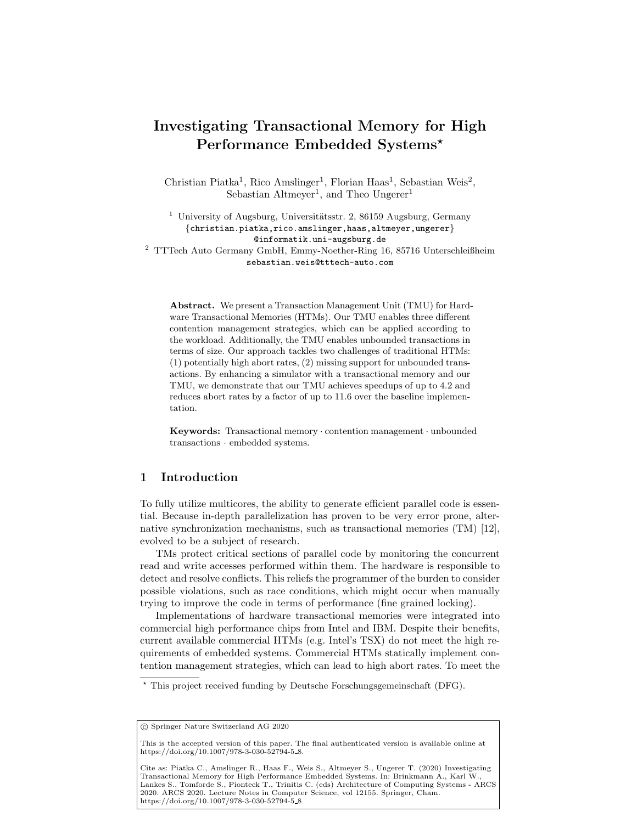# Investigating Transactional Memory for High Performance Embedded Systems\*

Christian Piatka<sup>1</sup>, Rico Amslinger<sup>1</sup>, Florian Haas<sup>1</sup>, Sebastian Weis<sup>2</sup>, Sebastian Altmeyer<sup>1</sup>, and Theo Ungerer<sup>1</sup>

<sup>1</sup> University of Augsburg, Universitätsstr. 2, 86159 Augsburg, Germany {christian.piatka,rico.amslinger,haas,altmeyer,ungerer} @informatik.uni-augsburg.de  $^2\,$  TTTech Auto Germany GmbH, Emmy-Noether-Ring 16, 85716 Unterschleißheim

sebastian.weis@tttech-auto.com

Abstract. We present a Transaction Management Unit (TMU) for Hardware Transactional Memories (HTMs). Our TMU enables three different contention management strategies, which can be applied according to the workload. Additionally, the TMU enables unbounded transactions in terms of size. Our approach tackles two challenges of traditional HTMs: (1) potentially high abort rates, (2) missing support for unbounded transactions. By enhancing a simulator with a transactional memory and our TMU, we demonstrate that our TMU achieves speedups of up to 4.2 and reduces abort rates by a factor of up to 11.6 over the baseline implementation.

Keywords: Transactional memory · contention management · unbounded transactions · embedded systems.

# 1 Introduction

To fully utilize multicores, the ability to generate efficient parallel code is essential. Because in-depth parallelization has proven to be very error prone, alternative synchronization mechanisms, such as transactional memories (TM) [\[12\]](#page-11-0), evolved to be a subject of research.

TMs protect critical sections of parallel code by monitoring the concurrent read and write accesses performed within them. The hardware is responsible to detect and resolve conflicts. This reliefs the programmer of the burden to consider possible violations, such as race conditions, which might occur when manually trying to improve the code in terms of performance (fine grained locking).

Implementations of hardware transactional memories were integrated into commercial high performance chips from Intel and IBM. Despite their benefits, current available commercial HTMs (e.g. Intel's TSX) do not meet the high requirements of embedded systems. Commercial HTMs statically implement contention management strategies, which can lead to high abort rates. To meet the

<sup>?</sup> This project received funding by Deutsche Forschungsgemeinschaft (DFG).

c Springer Nature Switzerland AG 2020

This is the accepted version of this paper. The final authenticated version is available online at [https://doi.org/10.1007/978-3-030-52794-5](https://doi.org/10.1007/978-3-030-52794-5_8) 8.

Cite as: Piatka C., Amslinger R., Haas F., Weis S., Altmeyer S., Ungerer T. (2020) Investigating Transactional Memory for High Performance Embedded Systems. In: Brinkmann A., Karl W., Lankes S., Tomforde S., Pionteck T., Trinitis C. (eds) Architecture of Computing Systems - ARCS 2020. ARCS 2020. Lecture Notes in Computer Science, vol 12155. Springer, Cham. [https://doi.org/10.1007/978-3-030-52794-5](https://doi.org/10.1007/978-3-030-52794-5_8)<sub>-8</sub>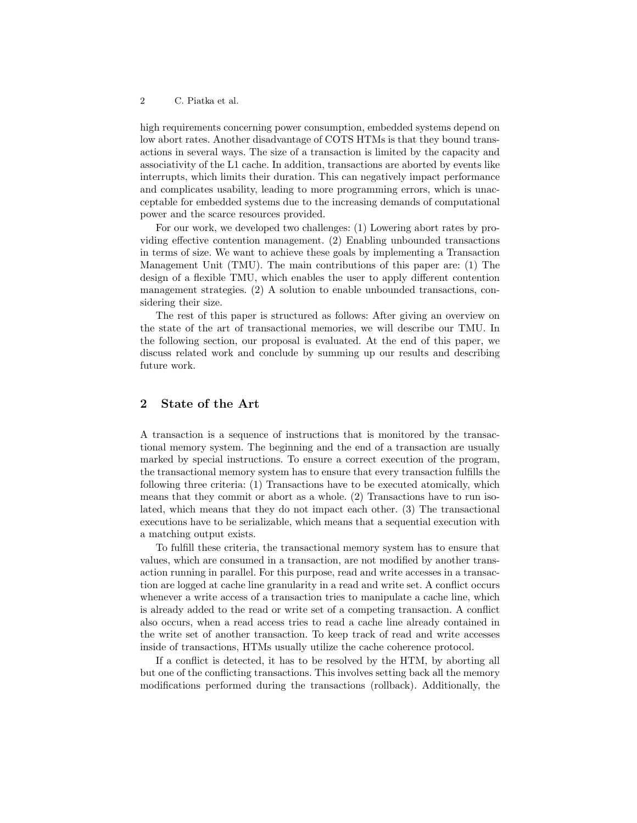high requirements concerning power consumption, embedded systems depend on low abort rates. Another disadvantage of COTS HTMs is that they bound transactions in several ways. The size of a transaction is limited by the capacity and associativity of the L1 cache. In addition, transactions are aborted by events like interrupts, which limits their duration. This can negatively impact performance and complicates usability, leading to more programming errors, which is unacceptable for embedded systems due to the increasing demands of computational power and the scarce resources provided.

For our work, we developed two challenges: (1) Lowering abort rates by providing effective contention management. (2) Enabling unbounded transactions in terms of size. We want to achieve these goals by implementing a Transaction Management Unit (TMU). The main contributions of this paper are: (1) The design of a flexible TMU, which enables the user to apply different contention management strategies. (2) A solution to enable unbounded transactions, considering their size.

The rest of this paper is structured as follows: After giving an overview on the state of the art of transactional memories, we will describe our TMU. In the following section, our proposal is evaluated. At the end of this paper, we discuss related work and conclude by summing up our results and describing future work.

## 2 State of the Art

A transaction is a sequence of instructions that is monitored by the transactional memory system. The beginning and the end of a transaction are usually marked by special instructions. To ensure a correct execution of the program, the transactional memory system has to ensure that every transaction fulfills the following three criteria: (1) Transactions have to be executed atomically, which means that they commit or abort as a whole. (2) Transactions have to run isolated, which means that they do not impact each other. (3) The transactional executions have to be serializable, which means that a sequential execution with a matching output exists.

To fulfill these criteria, the transactional memory system has to ensure that values, which are consumed in a transaction, are not modified by another transaction running in parallel. For this purpose, read and write accesses in a transaction are logged at cache line granularity in a read and write set. A conflict occurs whenever a write access of a transaction tries to manipulate a cache line, which is already added to the read or write set of a competing transaction. A conflict also occurs, when a read access tries to read a cache line already contained in the write set of another transaction. To keep track of read and write accesses inside of transactions, HTMs usually utilize the cache coherence protocol.

If a conflict is detected, it has to be resolved by the HTM, by aborting all but one of the conflicting transactions. This involves setting back all the memory modifications performed during the transactions (rollback). Additionally, the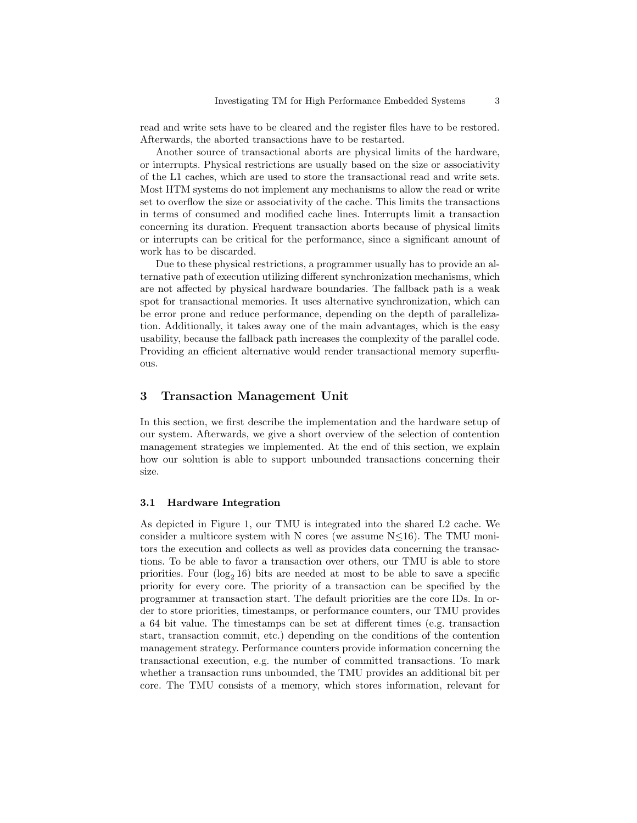read and write sets have to be cleared and the register files have to be restored. Afterwards, the aborted transactions have to be restarted.

Another source of transactional aborts are physical limits of the hardware, or interrupts. Physical restrictions are usually based on the size or associativity of the L1 caches, which are used to store the transactional read and write sets. Most HTM systems do not implement any mechanisms to allow the read or write set to overflow the size or associativity of the cache. This limits the transactions in terms of consumed and modified cache lines. Interrupts limit a transaction concerning its duration. Frequent transaction aborts because of physical limits or interrupts can be critical for the performance, since a significant amount of work has to be discarded.

Due to these physical restrictions, a programmer usually has to provide an alternative path of execution utilizing different synchronization mechanisms, which are not affected by physical hardware boundaries. The fallback path is a weak spot for transactional memories. It uses alternative synchronization, which can be error prone and reduce performance, depending on the depth of parallelization. Additionally, it takes away one of the main advantages, which is the easy usability, because the fallback path increases the complexity of the parallel code. Providing an efficient alternative would render transactional memory superfluous.

## 3 Transaction Management Unit

In this section, we first describe the implementation and the hardware setup of our system. Afterwards, we give a short overview of the selection of contention management strategies we implemented. At the end of this section, we explain how our solution is able to support unbounded transactions concerning their size.

#### 3.1 Hardware Integration

As depicted in Figure [1,](#page-3-0) our TMU is integrated into the shared L2 cache. We consider a multicore system with N cores (we assume  $N \leq 16$ ). The TMU monitors the execution and collects as well as provides data concerning the transactions. To be able to favor a transaction over others, our TMU is able to store priorities. Four  $(\log_2 16)$  bits are needed at most to be able to save a specific priority for every core. The priority of a transaction can be specified by the programmer at transaction start. The default priorities are the core IDs. In order to store priorities, timestamps, or performance counters, our TMU provides a 64 bit value. The timestamps can be set at different times (e.g. transaction start, transaction commit, etc.) depending on the conditions of the contention management strategy. Performance counters provide information concerning the transactional execution, e.g. the number of committed transactions. To mark whether a transaction runs unbounded, the TMU provides an additional bit per core. The TMU consists of a memory, which stores information, relevant for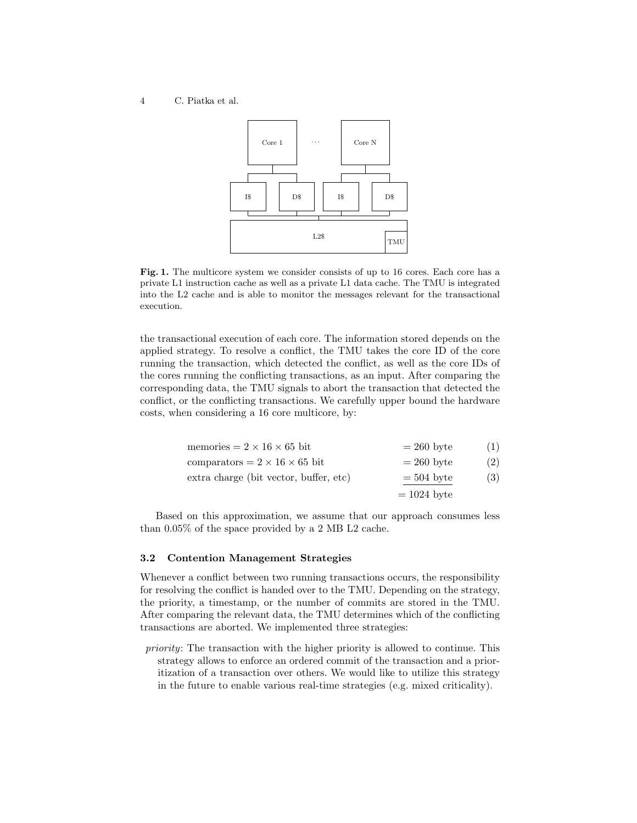#### 4 C. Piatka et al.



<span id="page-3-0"></span>Fig. 1. The multicore system we consider consists of up to 16 cores. Each core has a private L1 instruction cache as well as a private L1 data cache. The TMU is integrated into the L2 cache and is able to monitor the messages relevant for the transactional execution.

the transactional execution of each core. The information stored depends on the applied strategy. To resolve a conflict, the TMU takes the core ID of the core running the transaction, which detected the conflict, as well as the core IDs of the cores running the conflicting transactions, as an input. After comparing the corresponding data, the TMU signals to abort the transaction that detected the conflict, or the conflicting transactions. We carefully upper bound the hardware costs, when considering a 16 core multicore, by:

| memories = $2 \times 16 \times 65$ bit    | $= 260$ byte  | (1) |
|-------------------------------------------|---------------|-----|
| comparators = $2 \times 16 \times 65$ bit | $= 260$ byte  | (2) |
| extra charge (bit vector, buffer, etc)    | $=$ 504 byte  | (3) |
|                                           | $= 1024$ byte |     |

Based on this approximation, we assume that our approach consumes less than 0.05% of the space provided by a 2 MB L2 cache.

## 3.2 Contention Management Strategies

Whenever a conflict between two running transactions occurs, the responsibility for resolving the conflict is handed over to the TMU. Depending on the strategy, the priority, a timestamp, or the number of commits are stored in the TMU. After comparing the relevant data, the TMU determines which of the conflicting transactions are aborted. We implemented three strategies:

priority: The transaction with the higher priority is allowed to continue. This strategy allows to enforce an ordered commit of the transaction and a prioritization of a transaction over others. We would like to utilize this strategy in the future to enable various real-time strategies (e.g. mixed criticality).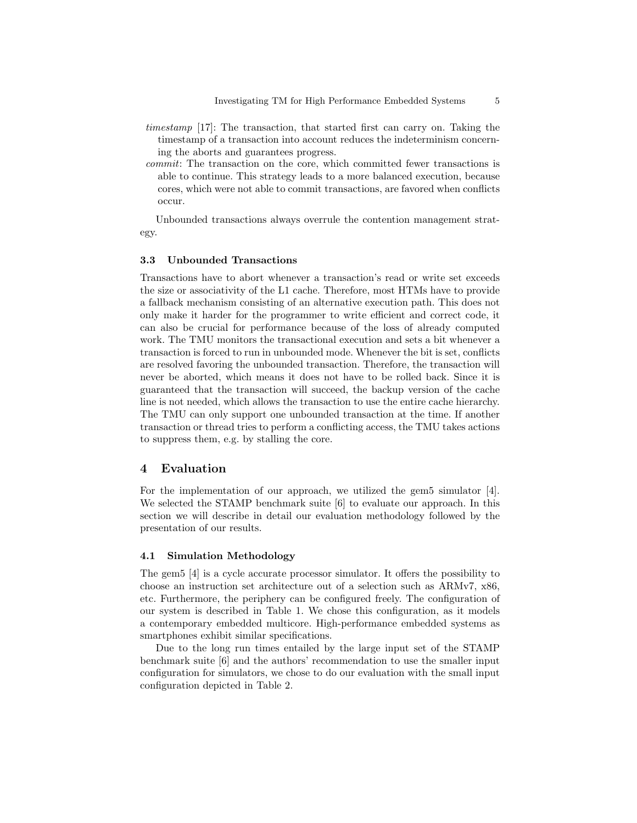- timestamp [\[17\]](#page-11-1): The transaction, that started first can carry on. Taking the timestamp of a transaction into account reduces the indeterminism concerning the aborts and guarantees progress.
- commit: The transaction on the core, which committed fewer transactions is able to continue. This strategy leads to a more balanced execution, because cores, which were not able to commit transactions, are favored when conflicts occur.

Unbounded transactions always overrule the contention management strategy.

#### 3.3 Unbounded Transactions

Transactions have to abort whenever a transaction's read or write set exceeds the size or associativity of the L1 cache. Therefore, most HTMs have to provide a fallback mechanism consisting of an alternative execution path. This does not only make it harder for the programmer to write efficient and correct code, it can also be crucial for performance because of the loss of already computed work. The TMU monitors the transactional execution and sets a bit whenever a transaction is forced to run in unbounded mode. Whenever the bit is set, conflicts are resolved favoring the unbounded transaction. Therefore, the transaction will never be aborted, which means it does not have to be rolled back. Since it is guaranteed that the transaction will succeed, the backup version of the cache line is not needed, which allows the transaction to use the entire cache hierarchy. The TMU can only support one unbounded transaction at the time. If another transaction or thread tries to perform a conflicting access, the TMU takes actions to suppress them, e.g. by stalling the core.

## 4 Evaluation

For the implementation of our approach, we utilized the gem5 simulator [\[4\]](#page-10-0). We selected the STAMP benchmark suite  $[6]$  to evaluate our approach. In this section we will describe in detail our evaluation methodology followed by the presentation of our results.

#### 4.1 Simulation Methodology

The gem5 [\[4\]](#page-10-0) is a cycle accurate processor simulator. It offers the possibility to choose an instruction set architecture out of a selection such as ARMv7, x86, etc. Furthermore, the periphery can be configured freely. The configuration of our system is described in Table [1.](#page-5-0) We chose this configuration, as it models a contemporary embedded multicore. High-performance embedded systems as smartphones exhibit similar specifications.

Due to the long run times entailed by the large input set of the STAMP benchmark suite [\[6\]](#page-10-1) and the authors' recommendation to use the smaller input configuration for simulators, we chose to do our evaluation with the small input configuration depicted in Table [2.](#page-5-1)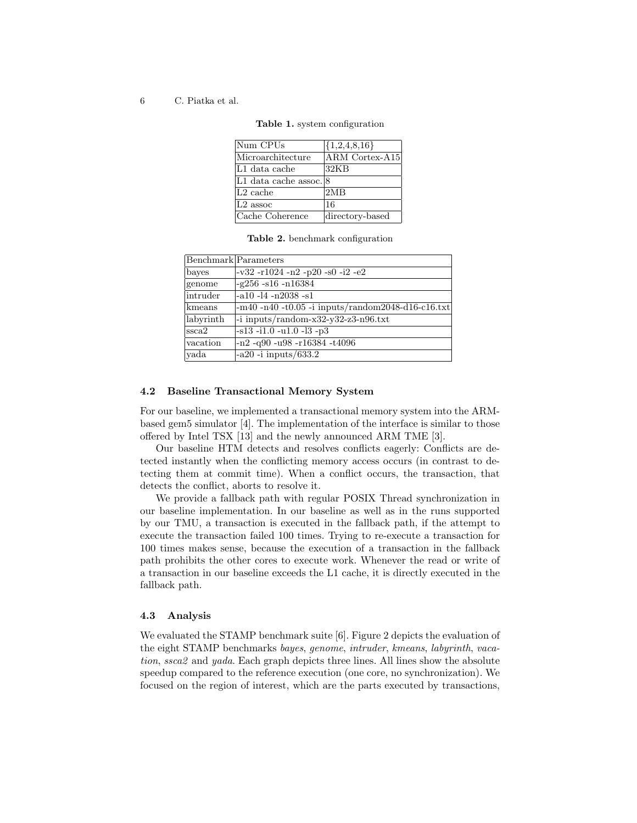6 C. Piatka et al.

| Num CPUs               | ${1,2,4,8,16}$  |
|------------------------|-----------------|
| Microarchitecture      | ARM Cortex-A15  |
| L1 data cache          | 32KB            |
| L1 data cache assoc. 8 |                 |
| $L2$ cache             | 2MR             |
| $L2$ assoc             | 16              |
| Cache Coherence        | directory-based |

<span id="page-5-0"></span>Table 1. system configuration

<span id="page-5-1"></span>Table 2. benchmark configuration

|                  | Benchmark Parameters                                   |
|------------------|--------------------------------------------------------|
| bayes            | $-v32 - r1024 - n2 - p20 - s0 - i2 - e2$               |
| genome           | $-g256 - s16 - n16384$                                 |
| intruder         | $-a10 - 14 - n2038 - s1$                               |
| kmeans           | $-m40 - n40 - t0.05 - i$ inputs/random2048-d16-c16.txt |
| labyrinth        | -i inputs/random-x32-y32-z3-n96.txt                    |
| $\mathrm{ssca}2$ | $-s13 - i1.0 - u1.0 - 13 - p3$                         |
| vacation         | $-n2 - q90 - u98 - r16384 - t4096$                     |
| yada             | $-a20$ -i inputs/633.2                                 |

#### 4.2 Baseline Transactional Memory System

For our baseline, we implemented a transactional memory system into the ARMbased gem5 simulator [\[4\]](#page-10-0). The implementation of the interface is similar to those offered by Intel TSX [\[13\]](#page-11-2) and the newly announced ARM TME [\[3\]](#page-10-2).

Our baseline HTM detects and resolves conflicts eagerly: Conflicts are detected instantly when the conflicting memory access occurs (in contrast to detecting them at commit time). When a conflict occurs, the transaction, that detects the conflict, aborts to resolve it.

We provide a fallback path with regular POSIX Thread synchronization in our baseline implementation. In our baseline as well as in the runs supported by our TMU, a transaction is executed in the fallback path, if the attempt to execute the transaction failed 100 times. Trying to re-execute a transaction for 100 times makes sense, because the execution of a transaction in the fallback path prohibits the other cores to execute work. Whenever the read or write of a transaction in our baseline exceeds the L1 cache, it is directly executed in the fallback path.

### 4.3 Analysis

We evaluated the STAMP benchmark suite [\[6\]](#page-10-1). Figure [2](#page-6-0) depicts the evaluation of the eight STAMP benchmarks bayes, genome, intruder, kmeans, labyrinth, vacation, ssca2 and yada. Each graph depicts three lines. All lines show the absolute speedup compared to the reference execution (one core, no synchronization). We focused on the region of interest, which are the parts executed by transactions,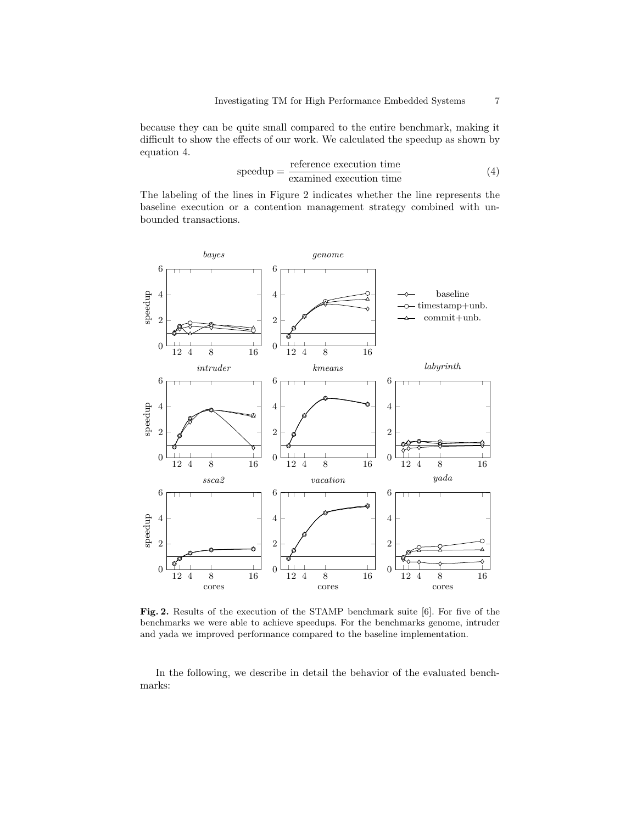because they can be quite small compared to the entire benchmark, making it difficult to show the effects of our work. We calculated the speedup as shown by equation [4.](#page-6-1)

<span id="page-6-1"></span>
$$
speedup = \frac{reference \, execution \, time}{examined \, execution \, time}
$$
\n
$$
\tag{4}
$$

The labeling of the lines in Figure [2](#page-6-0) indicates whether the line represents the baseline execution or a contention management strategy combined with unbounded transactions.



<span id="page-6-0"></span>Fig. 2. Results of the execution of the STAMP benchmark suite [\[6\]](#page-10-1). For five of the benchmarks we were able to achieve speedups. For the benchmarks genome, intruder and yada we improved performance compared to the baseline implementation.

In the following, we describe in detail the behavior of the evaluated benchmarks: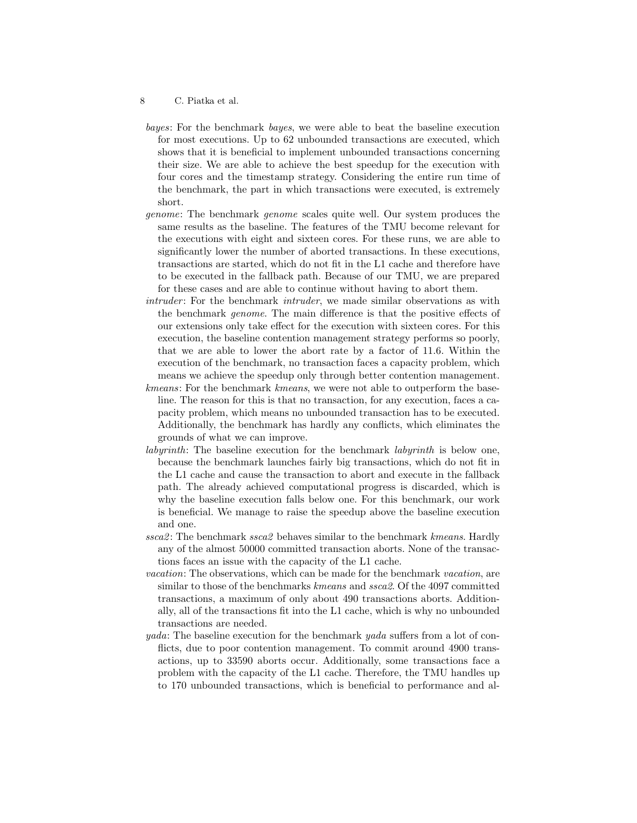- 8 C. Piatka et al.
- bayes: For the benchmark bayes, we were able to beat the baseline execution for most executions. Up to 62 unbounded transactions are executed, which shows that it is beneficial to implement unbounded transactions concerning their size. We are able to achieve the best speedup for the execution with four cores and the timestamp strategy. Considering the entire run time of the benchmark, the part in which transactions were executed, is extremely short.
- genome: The benchmark genome scales quite well. Our system produces the same results as the baseline. The features of the TMU become relevant for the executions with eight and sixteen cores. For these runs, we are able to significantly lower the number of aborted transactions. In these executions, transactions are started, which do not fit in the L1 cache and therefore have to be executed in the fallback path. Because of our TMU, we are prepared for these cases and are able to continue without having to abort them.
- intruder: For the benchmark intruder, we made similar observations as with the benchmark genome. The main difference is that the positive effects of our extensions only take effect for the execution with sixteen cores. For this execution, the baseline contention management strategy performs so poorly, that we are able to lower the abort rate by a factor of 11.6. Within the execution of the benchmark, no transaction faces a capacity problem, which means we achieve the speedup only through better contention management.
- kmeans: For the benchmark kmeans, we were not able to outperform the baseline. The reason for this is that no transaction, for any execution, faces a capacity problem, which means no unbounded transaction has to be executed. Additionally, the benchmark has hardly any conflicts, which eliminates the grounds of what we can improve.
- labyrinth: The baseline execution for the benchmark labyrinth is below one, because the benchmark launches fairly big transactions, which do not fit in the L1 cache and cause the transaction to abort and execute in the fallback path. The already achieved computational progress is discarded, which is why the baseline execution falls below one. For this benchmark, our work is beneficial. We manage to raise the speedup above the baseline execution and one.
- ssca2: The benchmark ssca2 behaves similar to the benchmark kmeans. Hardly any of the almost 50000 committed transaction aborts. None of the transactions faces an issue with the capacity of the L1 cache.
- vacation: The observations, which can be made for the benchmark vacation, are similar to those of the benchmarks kmeans and ssca2. Of the 4097 committed transactions, a maximum of only about 490 transactions aborts. Additionally, all of the transactions fit into the L1 cache, which is why no unbounded transactions are needed.
- yada: The baseline execution for the benchmark yada suffers from a lot of conflicts, due to poor contention management. To commit around 4900 transactions, up to 33590 aborts occur. Additionally, some transactions face a problem with the capacity of the L1 cache. Therefore, the TMU handles up to 170 unbounded transactions, which is beneficial to performance and al-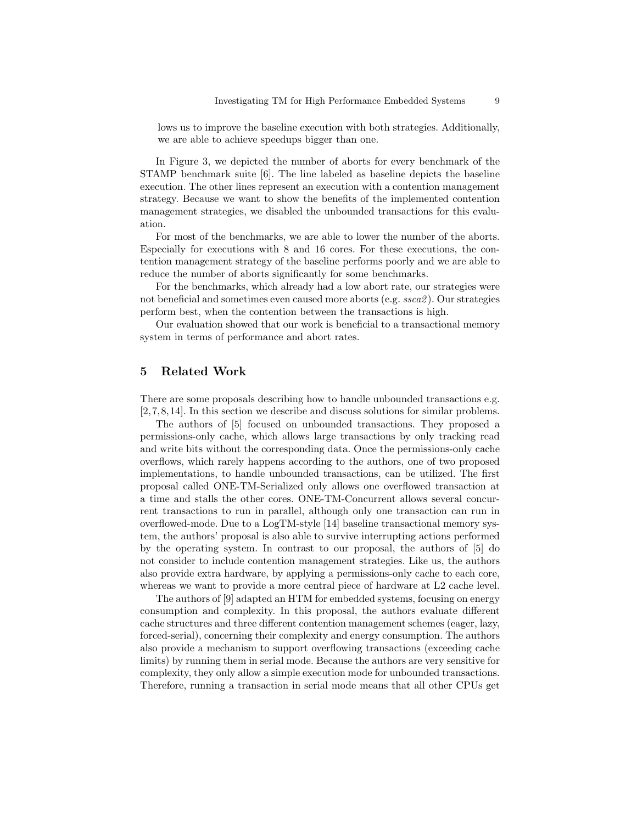lows us to improve the baseline execution with both strategies. Additionally, we are able to achieve speedups bigger than one.

In Figure [3,](#page-9-0) we depicted the number of aborts for every benchmark of the STAMP benchmark suite [\[6\]](#page-10-1). The line labeled as baseline depicts the baseline execution. The other lines represent an execution with a contention management strategy. Because we want to show the benefits of the implemented contention management strategies, we disabled the unbounded transactions for this evaluation.

For most of the benchmarks, we are able to lower the number of the aborts. Especially for executions with 8 and 16 cores. For these executions, the contention management strategy of the baseline performs poorly and we are able to reduce the number of aborts significantly for some benchmarks.

For the benchmarks, which already had a low abort rate, our strategies were not beneficial and sometimes even caused more aborts (e.g. ssca2 ). Our strategies perform best, when the contention between the transactions is high.

Our evaluation showed that our work is beneficial to a transactional memory system in terms of performance and abort rates.

# 5 Related Work

There are some proposals describing how to handle unbounded transactions e.g. [\[2,](#page-10-3)[7,](#page-11-3)[8,](#page-11-4)[14\]](#page-11-5). In this section we describe and discuss solutions for similar problems.

The authors of [\[5\]](#page-10-4) focused on unbounded transactions. They proposed a permissions-only cache, which allows large transactions by only tracking read and write bits without the corresponding data. Once the permissions-only cache overflows, which rarely happens according to the authors, one of two proposed implementations, to handle unbounded transactions, can be utilized. The first proposal called ONE-TM-Serialized only allows one overflowed transaction at a time and stalls the other cores. ONE-TM-Concurrent allows several concurrent transactions to run in parallel, although only one transaction can run in overflowed-mode. Due to a LogTM-style [\[14\]](#page-11-5) baseline transactional memory system, the authors' proposal is also able to survive interrupting actions performed by the operating system. In contrast to our proposal, the authors of [\[5\]](#page-10-4) do not consider to include contention management strategies. Like us, the authors also provide extra hardware, by applying a permissions-only cache to each core, whereas we want to provide a more central piece of hardware at L2 cache level.

The authors of [\[9\]](#page-11-6) adapted an HTM for embedded systems, focusing on energy consumption and complexity. In this proposal, the authors evaluate different cache structures and three different contention management schemes (eager, lazy, forced-serial), concerning their complexity and energy consumption. The authors also provide a mechanism to support overflowing transactions (exceeding cache limits) by running them in serial mode. Because the authors are very sensitive for complexity, they only allow a simple execution mode for unbounded transactions. Therefore, running a transaction in serial mode means that all other CPUs get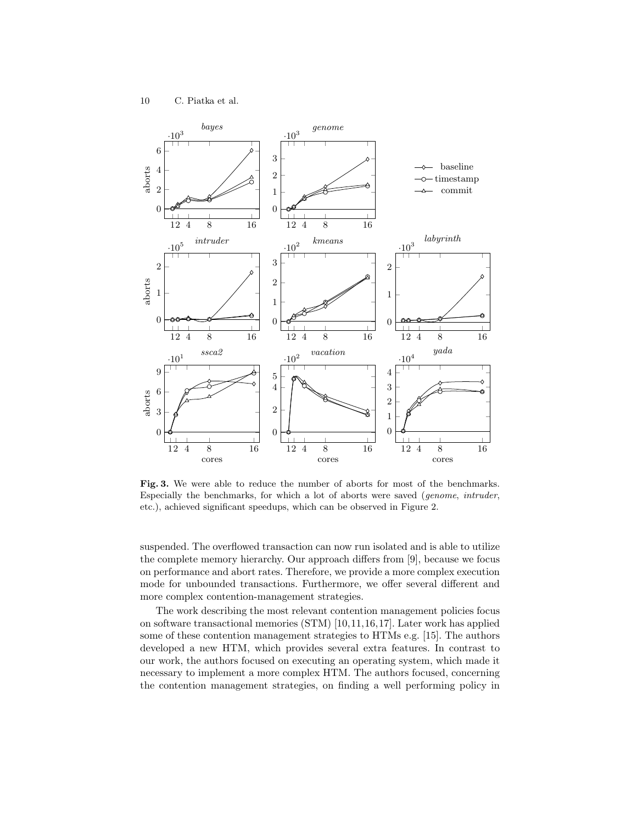

<span id="page-9-0"></span>Fig. 3. We were able to reduce the number of aborts for most of the benchmarks. Especially the benchmarks, for which a lot of aborts were saved (genome, intruder, etc.), achieved significant speedups, which can be observed in Figure [2.](#page-6-0)

suspended. The overflowed transaction can now run isolated and is able to utilize the complete memory hierarchy. Our approach differs from [\[9\]](#page-11-6), because we focus on performance and abort rates. Therefore, we provide a more complex execution mode for unbounded transactions. Furthermore, we offer several different and more complex contention-management strategies.

The work describing the most relevant contention management policies focus on software transactional memories (STM) [\[10,](#page-11-7)[11,](#page-11-8)[16,](#page-11-9)[17\]](#page-11-1). Later work has applied some of these contention management strategies to HTMs e.g. [\[15\]](#page-11-10). The authors developed a new HTM, which provides several extra features. In contrast to our work, the authors focused on executing an operating system, which made it necessary to implement a more complex HTM. The authors focused, concerning the contention management strategies, on finding a well performing policy in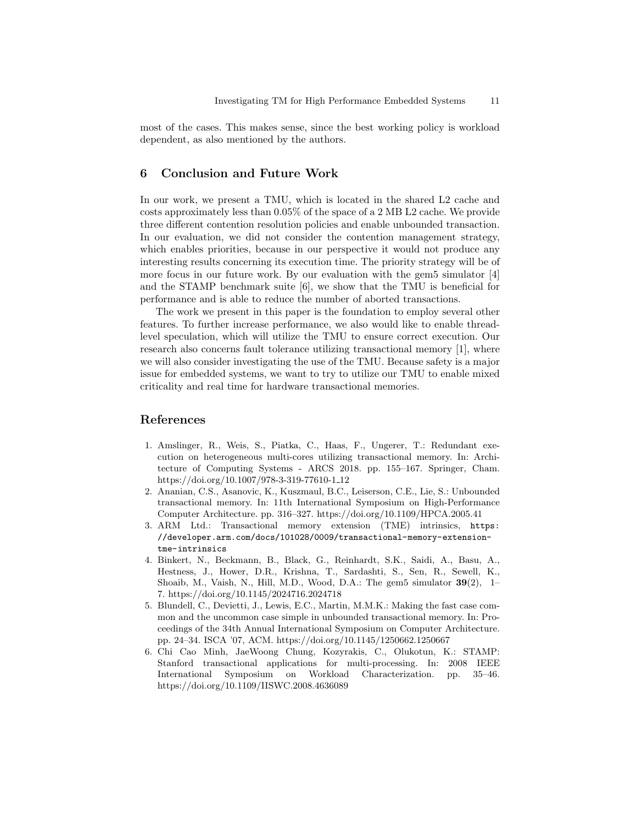most of the cases. This makes sense, since the best working policy is workload dependent, as also mentioned by the authors.

## 6 Conclusion and Future Work

In our work, we present a TMU, which is located in the shared L2 cache and costs approximately less than 0.05% of the space of a 2 MB L2 cache. We provide three different contention resolution policies and enable unbounded transaction. In our evaluation, we did not consider the contention management strategy, which enables priorities, because in our perspective it would not produce any interesting results concerning its execution time. The priority strategy will be of more focus in our future work. By our evaluation with the gem5 simulator [\[4\]](#page-10-0) and the STAMP benchmark suite [\[6\]](#page-10-1), we show that the TMU is beneficial for performance and is able to reduce the number of aborted transactions.

The work we present in this paper is the foundation to employ several other features. To further increase performance, we also would like to enable threadlevel speculation, which will utilize the TMU to ensure correct execution. Our research also concerns fault tolerance utilizing transactional memory [\[1\]](#page-10-5), where we will also consider investigating the use of the TMU. Because safety is a major issue for embedded systems, we want to try to utilize our TMU to enable mixed criticality and real time for hardware transactional memories.

## References

- <span id="page-10-5"></span>1. Amslinger, R., Weis, S., Piatka, C., Haas, F., Ungerer, T.: Redundant execution on heterogeneous multi-cores utilizing transactional memory. In: Architecture of Computing Systems - ARCS 2018. pp. 155–167. Springer, Cham. [https://doi.org/10.1007/978-3-319-77610-1](https://doi.org/10.1007/978-3-319-77610-1_12) 12
- <span id="page-10-3"></span>2. Ananian, C.S., Asanovic, K., Kuszmaul, B.C., Leiserson, C.E., Lie, S.: Unbounded transactional memory. In: 11th International Symposium on High-Performance Computer Architecture. pp. 316–327.<https://doi.org/10.1109/HPCA.2005.41>
- <span id="page-10-2"></span>3. ARM Ltd.: Transactional memory extension (TME) intrinsics, [https:](https://developer.arm.com/docs/101028/0009/transactional-memory-extension-tme-intrinsics) [//developer.arm.com/docs/101028/0009/transactional-memory-extension](https://developer.arm.com/docs/101028/0009/transactional-memory-extension-tme-intrinsics)[tme-intrinsics](https://developer.arm.com/docs/101028/0009/transactional-memory-extension-tme-intrinsics)
- <span id="page-10-0"></span>4. Binkert, N., Beckmann, B., Black, G., Reinhardt, S.K., Saidi, A., Basu, A., Hestness, J., Hower, D.R., Krishna, T., Sardashti, S., Sen, R., Sewell, K., Shoaib, M., Vaish, N., Hill, M.D., Wood, D.A.: The gem5 simulator  $39(2)$ , 1– 7.<https://doi.org/10.1145/2024716.2024718>
- <span id="page-10-4"></span>5. Blundell, C., Devietti, J., Lewis, E.C., Martin, M.M.K.: Making the fast case common and the uncommon case simple in unbounded transactional memory. In: Proceedings of the 34th Annual International Symposium on Computer Architecture. pp. 24–34. ISCA '07, ACM.<https://doi.org/10.1145/1250662.1250667>
- <span id="page-10-1"></span>6. Chi Cao Minh, JaeWoong Chung, Kozyrakis, C., Olukotun, K.: STAMP: Stanford transactional applications for multi-processing. In: 2008 IEEE International Symposium on Workload Characterization. pp. 35–46. <https://doi.org/10.1109/IISWC.2008.4636089>